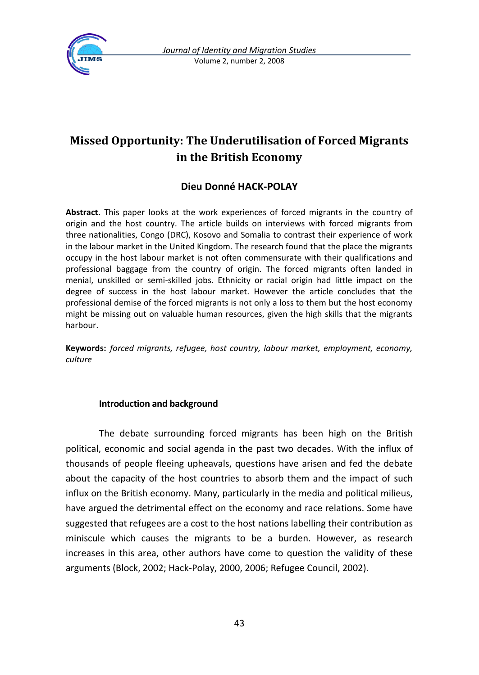

# **Missed Opportunity: The Underutilisation of Forced Migrants in the British Economy**

## **Dieu Donné HACK-POLAY**

**Abstract.** This paper looks at the work experiences of forced migrants in the country of origin and the host country. The article builds on interviews with forced migrants from three nationalities, Congo (DRC), Kosovo and Somalia to contrast their experience of work in the labour market in the United Kingdom. The research found that the place the migrants occupy in the host labour market is not often commensurate with their qualifications and professional baggage from the country of origin. The forced migrants often landed in menial, unskilled or semi-skilled jobs. Ethnicity or racial origin had little impact on the degree of success in the host labour market. However the article concludes that the professional demise of the forced migrants is not only a loss to them but the host economy might be missing out on valuable human resources, given the high skills that the migrants harbour.

**Keywords:** *forced migrants, refugee, host country, labour market, employment, economy, culture*

#### **Introduction and background**

The debate surrounding forced migrants has been high on the British political, economic and social agenda in the past two decades. With the influx of thousands of people fleeing upheavals, questions have arisen and fed the debate about the capacity of the host countries to absorb them and the impact of such influx on the British economy. Many, particularly in the media and political milieus, have argued the detrimental effect on the economy and race relations. Some have suggested that refugees are a cost to the host nations labelling their contribution as miniscule which causes the migrants to be a burden. However, as research increases in this area, other authors have come to question the validity of these arguments (Block, 2002; Hack-Polay, 2000, 2006; Refugee Council, 2002).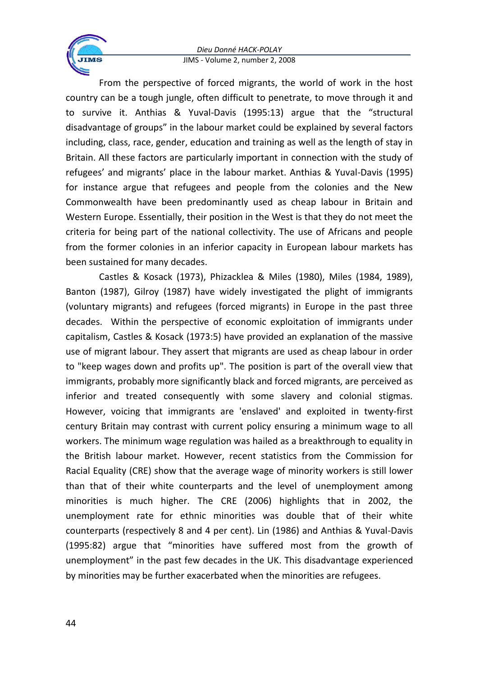

From the perspective of forced migrants, the world of work in the host country can be a tough jungle, often difficult to penetrate, to move through it and to survive it. Anthias & Yuval-Davis (1995:13) argue that the "structural disadvantage of groups" in the labour market could be explained by several factors including, class, race, gender, education and training as well as the length of stay in Britain. All these factors are particularly important in connection with the study of refugees' and migrants' place in the labour market. Anthias & Yuval-Davis (1995) for instance argue that refugees and people from the colonies and the New Commonwealth have been predominantly used as cheap labour in Britain and Western Europe. Essentially, their position in the West is that they do not meet the criteria for being part of the national collectivity. The use of Africans and people from the former colonies in an inferior capacity in European labour markets has been sustained for many decades.

Castles & Kosack (1973), Phizacklea & Miles (1980), Miles (1984, 1989), Banton (1987), Gilroy (1987) have widely investigated the plight of immigrants (voluntary migrants) and refugees (forced migrants) in Europe in the past three decades. Within the perspective of economic exploitation of immigrants under capitalism, Castles & Kosack (1973:5) have provided an explanation of the massive use of migrant labour. They assert that migrants are used as cheap labour in order to "keep wages down and profits up". The position is part of the overall view that immigrants, probably more significantly black and forced migrants, are perceived as inferior and treated consequently with some slavery and colonial stigmas. However, voicing that immigrants are 'enslaved' and exploited in twenty-first century Britain may contrast with current policy ensuring a minimum wage to all workers. The minimum wage regulation was hailed as a breakthrough to equality in the British labour market. However, recent statistics from the Commission for Racial Equality (CRE) show that the average wage of minority workers is still lower than that of their white counterparts and the level of unemployment among minorities is much higher. The CRE (2006) highlights that in 2002, the unemployment rate for ethnic minorities was double that of their white counterparts (respectively 8 and 4 per cent). Lin (1986) and Anthias & Yuval-Davis (1995:82) argue that "minorities have suffered most from the growth of unemployment" in the past few decades in the UK. This disadvantage experienced by minorities may be further exacerbated when the minorities are refugees.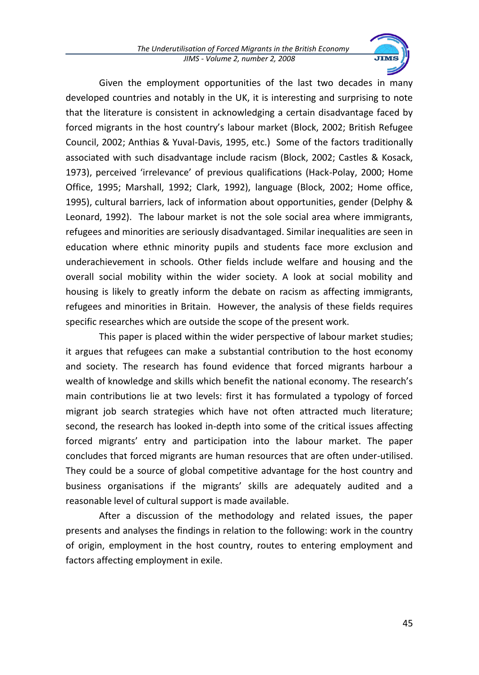

Given the employment opportunities of the last two decades in many developed countries and notably in the UK, it is interesting and surprising to note that the literature is consistent in acknowledging a certain disadvantage faced by forced migrants in the host country's labour market (Block, 2002; British Refugee Council, 2002; Anthias & Yuval-Davis, 1995, etc.) Some of the factors traditionally associated with such disadvantage include racism (Block, 2002; Castles & Kosack, 1973), perceived 'irrelevance' of previous qualifications (Hack-Polay, 2000; Home Office, 1995; Marshall, 1992; Clark, 1992), language (Block, 2002; Home office, 1995), cultural barriers, lack of information about opportunities, gender (Delphy & Leonard, 1992). The labour market is not the sole social area where immigrants, refugees and minorities are seriously disadvantaged. Similar inequalities are seen in education where ethnic minority pupils and students face more exclusion and underachievement in schools. Other fields include welfare and housing and the overall social mobility within the wider society. A look at social mobility and housing is likely to greatly inform the debate on racism as affecting immigrants, refugees and minorities in Britain. However, the analysis of these fields requires specific researches which are outside the scope of the present work.

This paper is placed within the wider perspective of labour market studies; it argues that refugees can make a substantial contribution to the host economy and society. The research has found evidence that forced migrants harbour a wealth of knowledge and skills which benefit the national economy. The research's main contributions lie at two levels: first it has formulated a typology of forced migrant job search strategies which have not often attracted much literature; second, the research has looked in-depth into some of the critical issues affecting forced migrants' entry and participation into the labour market. The paper concludes that forced migrants are human resources that are often under-utilised. They could be a source of global competitive advantage for the host country and business organisations if the migrants' skills are adequately audited and a reasonable level of cultural support is made available.

After a discussion of the methodology and related issues, the paper presents and analyses the findings in relation to the following: work in the country of origin, employment in the host country, routes to entering employment and factors affecting employment in exile.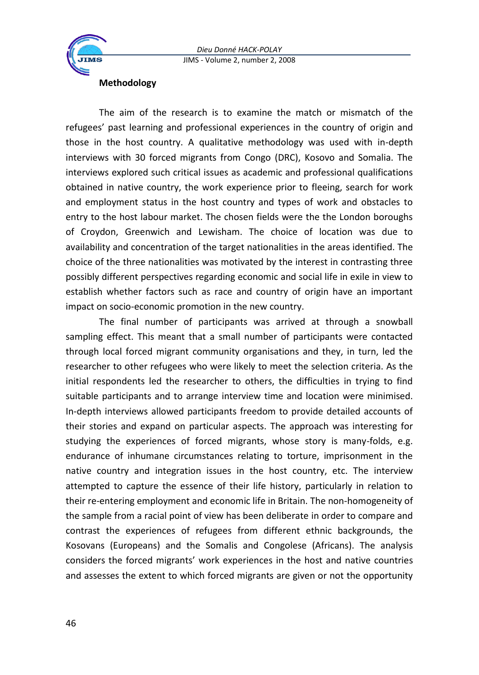

#### **Methodology**

The aim of the research is to examine the match or mismatch of the refugees' past learning and professional experiences in the country of origin and those in the host country. A qualitative methodology was used with in-depth interviews with 30 forced migrants from Congo (DRC), Kosovo and Somalia. The interviews explored such critical issues as academic and professional qualifications obtained in native country, the work experience prior to fleeing, search for work and employment status in the host country and types of work and obstacles to entry to the host labour market. The chosen fields were the the London boroughs of Croydon, Greenwich and Lewisham. The choice of location was due to availability and concentration of the target nationalities in the areas identified. The choice of the three nationalities was motivated by the interest in contrasting three possibly different perspectives regarding economic and social life in exile in view to establish whether factors such as race and country of origin have an important impact on socio-economic promotion in the new country.

The final number of participants was arrived at through a snowball sampling effect. This meant that a small number of participants were contacted through local forced migrant community organisations and they, in turn, led the researcher to other refugees who were likely to meet the selection criteria. As the initial respondents led the researcher to others, the difficulties in trying to find suitable participants and to arrange interview time and location were minimised. In-depth interviews allowed participants freedom to provide detailed accounts of their stories and expand on particular aspects. The approach was interesting for studying the experiences of forced migrants, whose story is many-folds, e.g. endurance of inhumane circumstances relating to torture, imprisonment in the native country and integration issues in the host country, etc. The interview attempted to capture the essence of their life history, particularly in relation to their re-entering employment and economic life in Britain. The non-homogeneity of the sample from a racial point of view has been deliberate in order to compare and contrast the experiences of refugees from different ethnic backgrounds, the Kosovans (Europeans) and the Somalis and Congolese (Africans). The analysis considers the forced migrants' work experiences in the host and native countries and assesses the extent to which forced migrants are given or not the opportunity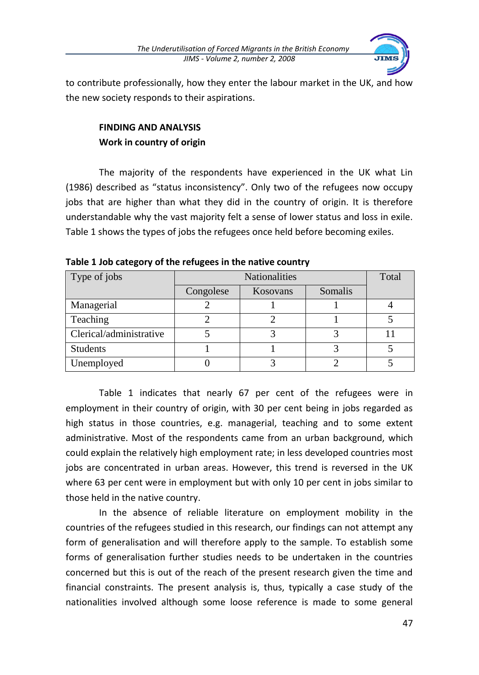

to contribute professionally, how they enter the labour market in the UK, and how the new society responds to their aspirations.

# **FINDING AND ANALYSIS Work in country of origin**

The majority of the respondents have experienced in the UK what Lin (1986) described as "status inconsistency". Only two of the refugees now occupy jobs that are higher than what they did in the country of origin. It is therefore understandable why the vast majority felt a sense of lower status and loss in exile. Table 1 shows the types of jobs the refugees once held before becoming exiles.

| Type of jobs            | <b>Nationalities</b> |          |         | Total |
|-------------------------|----------------------|----------|---------|-------|
|                         | Congolese            | Kosovans | Somalis |       |
| Managerial              |                      |          |         |       |
| Teaching                |                      |          |         |       |
| Clerical/administrative |                      |          |         |       |
| <b>Students</b>         |                      |          |         |       |
| Unemployed              |                      |          |         |       |

**Table 1 Job category of the refugees in the native country**

Table 1 indicates that nearly 67 per cent of the refugees were in employment in their country of origin, with 30 per cent being in jobs regarded as high status in those countries, e.g. managerial, teaching and to some extent administrative. Most of the respondents came from an urban background, which could explain the relatively high employment rate; in less developed countries most jobs are concentrated in urban areas. However, this trend is reversed in the UK where 63 per cent were in employment but with only 10 per cent in jobs similar to those held in the native country.

In the absence of reliable literature on employment mobility in the countries of the refugees studied in this research, our findings can not attempt any form of generalisation and will therefore apply to the sample. To establish some forms of generalisation further studies needs to be undertaken in the countries concerned but this is out of the reach of the present research given the time and financial constraints. The present analysis is, thus, typically a case study of the nationalities involved although some loose reference is made to some general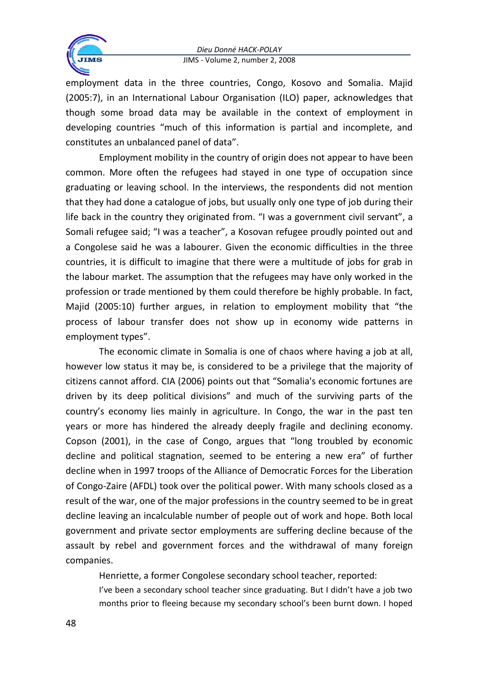

employment data in the three countries, Congo, Kosovo and Somalia. Majid (2005:7), in an International Labour Organisation (ILO) paper, acknowledges that though some broad data may be available in the context of employment in developing countries "much of this information is partial and incomplete, and constitutes an unbalanced panel of data".

Employment mobility in the country of origin does not appear to have been common. More often the refugees had stayed in one type of occupation since graduating or leaving school. In the interviews, the respondents did not mention that they had done a catalogue of jobs, but usually only one type of job during their life back in the country they originated from. "I was a government civil servant", a Somali refugee said; "I was a teacher", a Kosovan refugee proudly pointed out and a Congolese said he was a labourer. Given the economic difficulties in the three countries, it is difficult to imagine that there were a multitude of jobs for grab in the labour market. The assumption that the refugees may have only worked in the profession or trade mentioned by them could therefore be highly probable. In fact, Majid (2005:10) further argues, in relation to employment mobility that "the process of labour transfer does not show up in economy wide patterns in employment types".

The economic climate in Somalia is one of chaos where having a job at all, however low status it may be, is considered to be a privilege that the majority of citizens cannot afford. CIA (2006) points out that "Somalia's economic fortunes are driven by its deep political divisions" and much of the surviving parts of the country's economy lies mainly in agriculture. In Congo, the war in the past ten years or more has hindered the already deeply fragile and declining economy. Copson (2001), in the case of Congo, argues that "long troubled by economic decline and political stagnation, seemed to be entering a new era" of further decline when in 1997 troops of the Alliance of Democratic Forces for the Liberation of Congo-Zaire (AFDL) took over the political power. With many schools closed as a result of the war, one of the major professions in the country seemed to be in great decline leaving an incalculable number of people out of work and hope. Both local government and private sector employments are suffering decline because of the assault by rebel and government forces and the withdrawal of many foreign companies.

Henriette, a former Congolese secondary school teacher, reported:

I've been a secondary school teacher since graduating. But I didn't have a job two months prior to fleeing because my secondary school's been burnt down. I hoped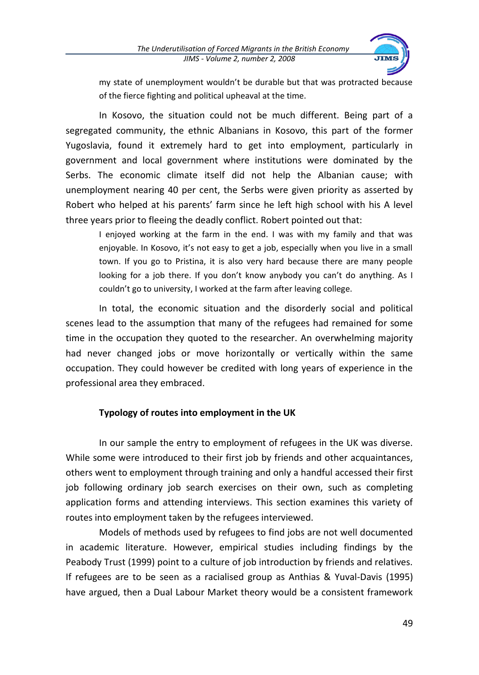

my state of unemployment wouldn't be durable but that was protracted because of the fierce fighting and political upheaval at the time.

In Kosovo, the situation could not be much different. Being part of a segregated community, the ethnic Albanians in Kosovo, this part of the former Yugoslavia, found it extremely hard to get into employment, particularly in government and local government where institutions were dominated by the Serbs. The economic climate itself did not help the Albanian cause; with unemployment nearing 40 per cent, the Serbs were given priority as asserted by Robert who helped at his parents' farm since he left high school with his A level three years prior to fleeing the deadly conflict. Robert pointed out that:

I enjoyed working at the farm in the end. I was with my family and that was enjoyable. In Kosovo, it's not easy to get a job, especially when you live in a small town. If you go to Pristina, it is also very hard because there are many people looking for a job there. If you don't know anybody you can't do anything. As I couldn't go to university, I worked at the farm after leaving college.

In total, the economic situation and the disorderly social and political scenes lead to the assumption that many of the refugees had remained for some time in the occupation they quoted to the researcher. An overwhelming majority had never changed jobs or move horizontally or vertically within the same occupation. They could however be credited with long years of experience in the professional area they embraced.

## **Typology of routes into employment in the UK**

In our sample the entry to employment of refugees in the UK was diverse. While some were introduced to their first job by friends and other acquaintances, others went to employment through training and only a handful accessed their first job following ordinary job search exercises on their own, such as completing application forms and attending interviews. This section examines this variety of routes into employment taken by the refugees interviewed.

Models of methods used by refugees to find jobs are not well documented in academic literature. However, empirical studies including findings by the Peabody Trust (1999) point to a culture of job introduction by friends and relatives. If refugees are to be seen as a racialised group as Anthias & Yuval-Davis (1995) have argued, then a Dual Labour Market theory would be a consistent framework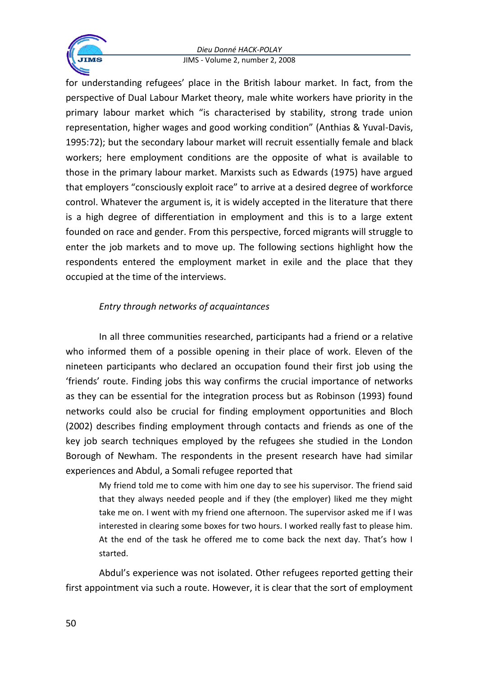

for understanding refugees' place in the British labour market. In fact, from the perspective of Dual Labour Market theory, male white workers have priority in the primary labour market which "is characterised by stability, strong trade union representation, higher wages and good working condition" (Anthias & Yuval-Davis, 1995:72); but the secondary labour market will recruit essentially female and black workers; here employment conditions are the opposite of what is available to those in the primary labour market. Marxists such as Edwards (1975) have argued that employers "consciously exploit race" to arrive at a desired degree of workforce control. Whatever the argument is, it is widely accepted in the literature that there is a high degree of differentiation in employment and this is to a large extent founded on race and gender. From this perspective, forced migrants will struggle to enter the job markets and to move up. The following sections highlight how the respondents entered the employment market in exile and the place that they occupied at the time of the interviews.

# *Entry through networks of acquaintances*

In all three communities researched, participants had a friend or a relative who informed them of a possible opening in their place of work. Eleven of the nineteen participants who declared an occupation found their first job using the 'friends' route. Finding jobs this way confirms the crucial importance of networks as they can be essential for the integration process but as Robinson (1993) found networks could also be crucial for finding employment opportunities and Bloch (2002) describes finding employment through contacts and friends as one of the key job search techniques employed by the refugees she studied in the London Borough of Newham. The respondents in the present research have had similar experiences and Abdul, a Somali refugee reported that

My friend told me to come with him one day to see his supervisor. The friend said that they always needed people and if they (the employer) liked me they might take me on. I went with my friend one afternoon. The supervisor asked me if I was interested in clearing some boxes for two hours. I worked really fast to please him. At the end of the task he offered me to come back the next day. That's how I started.

Abdul's experience was not isolated. Other refugees reported getting their first appointment via such a route. However, it is clear that the sort of employment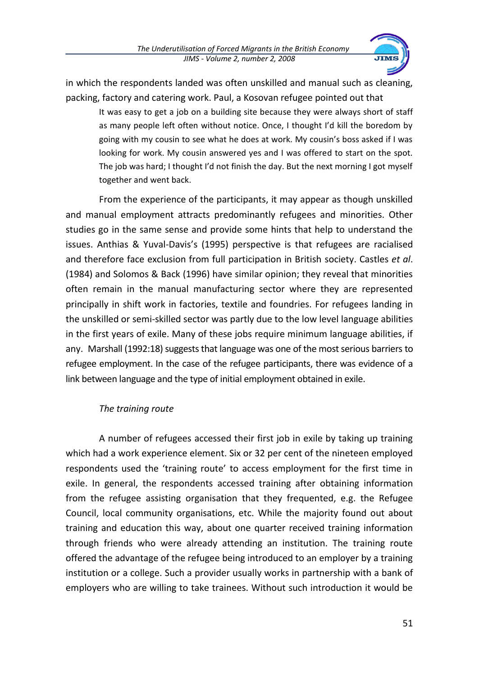

in which the respondents landed was often unskilled and manual such as cleaning, packing, factory and catering work. Paul, a Kosovan refugee pointed out that

It was easy to get a job on a building site because they were always short of staff as many people left often without notice. Once, I thought I'd kill the boredom by going with my cousin to see what he does at work. My cousin's boss asked if I was looking for work. My cousin answered yes and I was offered to start on the spot. The job was hard; I thought I'd not finish the day. But the next morning I got myself together and went back.

From the experience of the participants, it may appear as though unskilled and manual employment attracts predominantly refugees and minorities. Other studies go in the same sense and provide some hints that help to understand the issues. Anthias & Yuval-Davis's (1995) perspective is that refugees are racialised and therefore face exclusion from full participation in British society. Castles *et al*. (1984) and Solomos & Back (1996) have similar opinion; they reveal that minorities often remain in the manual manufacturing sector where they are represented principally in shift work in factories, textile and foundries. For refugees landing in the unskilled or semi-skilled sector was partly due to the low level language abilities in the first years of exile. Many of these jobs require minimum language abilities, if any. Marshall (1992:18) suggests that language was one of the most serious barriers to refugee employment. In the case of the refugee participants, there was evidence of a link between language and the type of initial employment obtained in exile.

## *The training route*

A number of refugees accessed their first job in exile by taking up training which had a work experience element. Six or 32 per cent of the nineteen employed respondents used the 'training route' to access employment for the first time in exile. In general, the respondents accessed training after obtaining information from the refugee assisting organisation that they frequented, e.g. the Refugee Council, local community organisations, etc. While the majority found out about training and education this way, about one quarter received training information through friends who were already attending an institution. The training route offered the advantage of the refugee being introduced to an employer by a training institution or a college. Such a provider usually works in partnership with a bank of employers who are willing to take trainees. Without such introduction it would be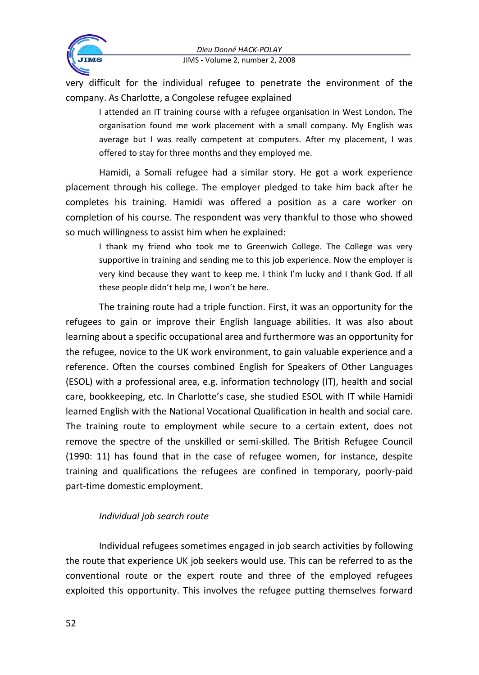

very difficult for the individual refugee to penetrate the environment of the company. As Charlotte, a Congolese refugee explained

I attended an IT training course with a refugee organisation in West London. The organisation found me work placement with a small company. My English was average but I was really competent at computers. After my placement, I was offered to stay for three months and they employed me.

Hamidi, a Somali refugee had a similar story. He got a work experience placement through his college. The employer pledged to take him back after he completes his training. Hamidi was offered a position as a care worker on completion of his course. The respondent was very thankful to those who showed so much willingness to assist him when he explained:

I thank my friend who took me to Greenwich College. The College was very supportive in training and sending me to this job experience. Now the employer is very kind because they want to keep me. I think I'm lucky and I thank God. If all these people didn't help me, I won't be here.

The training route had a triple function. First, it was an opportunity for the refugees to gain or improve their English language abilities. It was also about learning about a specific occupational area and furthermore was an opportunity for the refugee, novice to the UK work environment, to gain valuable experience and a reference. Often the courses combined English for Speakers of Other Languages (ESOL) with a professional area, e.g. information technology (IT), health and social care, bookkeeping, etc. In Charlotte's case, she studied ESOL with IT while Hamidi learned English with the National Vocational Qualification in health and social care. The training route to employment while secure to a certain extent, does not remove the spectre of the unskilled or semi-skilled. The British Refugee Council (1990: 11) has found that in the case of refugee women, for instance, despite training and qualifications the refugees are confined in temporary, poorly-paid part-time domestic employment.

## *Individual job search route*

Individual refugees sometimes engaged in job search activities by following the route that experience UK job seekers would use. This can be referred to as the conventional route or the expert route and three of the employed refugees exploited this opportunity. This involves the refugee putting themselves forward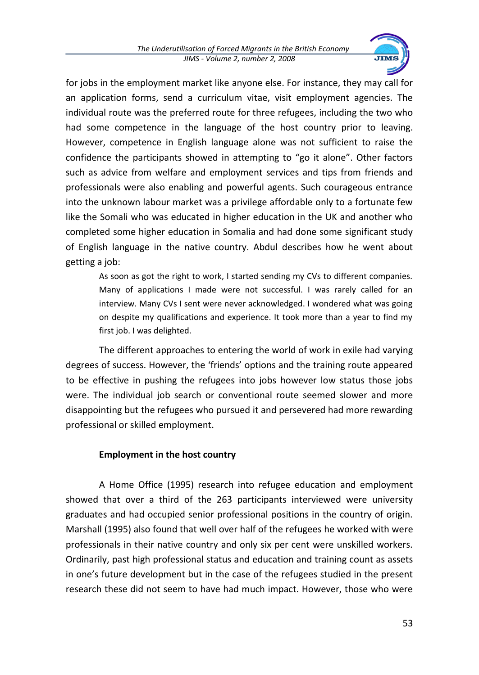

for jobs in the employment market like anyone else. For instance, they may call for an application forms, send a curriculum vitae, visit employment agencies. The individual route was the preferred route for three refugees, including the two who had some competence in the language of the host country prior to leaving. However, competence in English language alone was not sufficient to raise the confidence the participants showed in attempting to "go it alone". Other factors such as advice from welfare and employment services and tips from friends and professionals were also enabling and powerful agents. Such courageous entrance into the unknown labour market was a privilege affordable only to a fortunate few like the Somali who was educated in higher education in the UK and another who completed some higher education in Somalia and had done some significant study of English language in the native country. Abdul describes how he went about getting a job:

As soon as got the right to work, I started sending my CVs to different companies. Many of applications I made were not successful. I was rarely called for an interview. Many CVs I sent were never acknowledged. I wondered what was going on despite my qualifications and experience. It took more than a year to find my first job. I was delighted.

The different approaches to entering the world of work in exile had varying degrees of success. However, the 'friends' options and the training route appeared to be effective in pushing the refugees into jobs however low status those jobs were. The individual job search or conventional route seemed slower and more disappointing but the refugees who pursued it and persevered had more rewarding professional or skilled employment.

## **Employment in the host country**

A Home Office (1995) research into refugee education and employment showed that over a third of the 263 participants interviewed were university graduates and had occupied senior professional positions in the country of origin. Marshall (1995) also found that well over half of the refugees he worked with were professionals in their native country and only six per cent were unskilled workers. Ordinarily, past high professional status and education and training count as assets in one's future development but in the case of the refugees studied in the present research these did not seem to have had much impact. However, those who were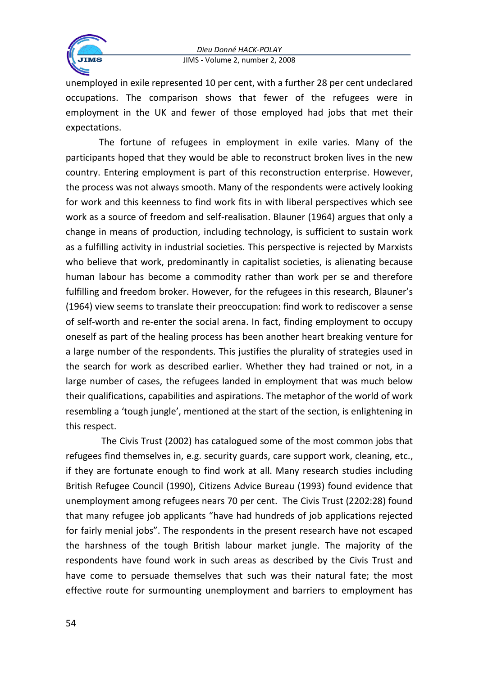

unemployed in exile represented 10 per cent, with a further 28 per cent undeclared occupations. The comparison shows that fewer of the refugees were in employment in the UK and fewer of those employed had jobs that met their expectations.

The fortune of refugees in employment in exile varies. Many of the participants hoped that they would be able to reconstruct broken lives in the new country. Entering employment is part of this reconstruction enterprise. However, the process was not always smooth. Many of the respondents were actively looking for work and this keenness to find work fits in with liberal perspectives which see work as a source of freedom and self-realisation. Blauner (1964) argues that only a change in means of production, including technology, is sufficient to sustain work as a fulfilling activity in industrial societies. This perspective is rejected by Marxists who believe that work, predominantly in capitalist societies, is alienating because human labour has become a commodity rather than work per se and therefore fulfilling and freedom broker. However, for the refugees in this research, Blauner's (1964) view seems to translate their preoccupation: find work to rediscover a sense of self-worth and re-enter the social arena. In fact, finding employment to occupy oneself as part of the healing process has been another heart breaking venture for a large number of the respondents. This justifies the plurality of strategies used in the search for work as described earlier. Whether they had trained or not, in a large number of cases, the refugees landed in employment that was much below their qualifications, capabilities and aspirations. The metaphor of the world of work resembling a 'tough jungle', mentioned at the start of the section, is enlightening in this respect.

The Civis Trust (2002) has catalogued some of the most common jobs that refugees find themselves in, e.g. security guards, care support work, cleaning, etc., if they are fortunate enough to find work at all. Many research studies including British Refugee Council (1990), Citizens Advice Bureau (1993) found evidence that unemployment among refugees nears 70 per cent. The Civis Trust (2202:28) found that many refugee job applicants "have had hundreds of job applications rejected for fairly menial jobs". The respondents in the present research have not escaped the harshness of the tough British labour market jungle. The majority of the respondents have found work in such areas as described by the Civis Trust and have come to persuade themselves that such was their natural fate; the most effective route for surmounting unemployment and barriers to employment has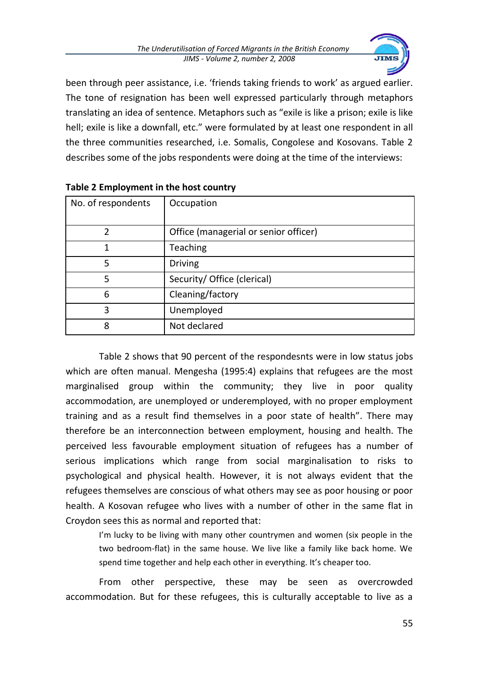

been through peer assistance, i.e. 'friends taking friends to work' as argued earlier. The tone of resignation has been well expressed particularly through metaphors translating an idea of sentence. Metaphors such as "exile is like a prison; exile is like hell; exile is like a downfall, etc." were formulated by at least one respondent in all the three communities researched, i.e. Somalis, Congolese and Kosovans. Table 2 describes some of the jobs respondents were doing at the time of the interviews:

| Occupation                            |
|---------------------------------------|
| Office (managerial or senior officer) |
| Teaching                              |
| <b>Driving</b>                        |
| Security/ Office (clerical)           |
| Cleaning/factory                      |
| Unemployed                            |
| Not declared                          |
|                                       |

#### **Table 2 Employment in the host country**

Table 2 shows that 90 percent of the respondesnts were in low status jobs which are often manual. Mengesha (1995:4) explains that refugees are the most marginalised group within the community; they live in poor quality accommodation, are unemployed or underemployed, with no proper employment training and as a result find themselves in a poor state of health". There may therefore be an interconnection between employment, housing and health. The perceived less favourable employment situation of refugees has a number of serious implications which range from social marginalisation to risks to psychological and physical health. However, it is not always evident that the refugees themselves are conscious of what others may see as poor housing or poor health. A Kosovan refugee who lives with a number of other in the same flat in Croydon sees this as normal and reported that:

I'm lucky to be living with many other countrymen and women (six people in the two bedroom-flat) in the same house. We live like a family like back home. We spend time together and help each other in everything. It's cheaper too.

From other perspective, these may be seen as overcrowded accommodation. But for these refugees, this is culturally acceptable to live as a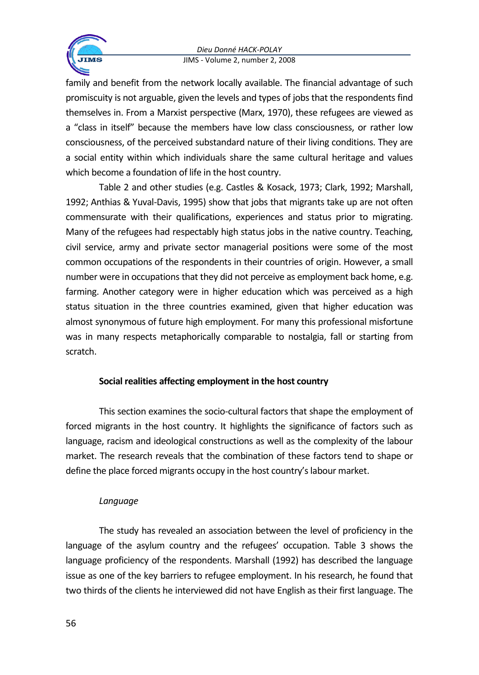

family and benefit from the network locally available. The financial advantage of such promiscuity is not arguable, given the levels and types of jobs that the respondents find themselves in. From a Marxist perspective (Marx, 1970), these refugees are viewed as a "class in itself" because the members have low class consciousness, or rather low consciousness, of the perceived substandard nature of their living conditions. They are a social entity within which individuals share the same cultural heritage and values which become a foundation of life in the host country.

Table 2 and other studies (e.g. Castles & Kosack, 1973; Clark, 1992; Marshall, 1992; Anthias & Yuval-Davis, 1995) show that jobs that migrants take up are not often commensurate with their qualifications, experiences and status prior to migrating. Many of the refugees had respectably high status jobs in the native country. Teaching, civil service, army and private sector managerial positions were some of the most common occupations of the respondents in their countries of origin. However, a small number were in occupations that they did not perceive as employment back home, e.g. farming. Another category were in higher education which was perceived as a high status situation in the three countries examined, given that higher education was almost synonymous of future high employment. For many this professional misfortune was in many respects metaphorically comparable to nostalgia, fall or starting from scratch.

## **Social realities affecting employment in the host country**

This section examines the socio-cultural factors that shape the employment of forced migrants in the host country. It highlights the significance of factors such as language, racism and ideological constructions as well as the complexity of the labour market. The research reveals that the combination of these factors tend to shape or define the place forced migrants occupy in the host country's labour market.

## *Language*

The study has revealed an association between the level of proficiency in the language of the asylum country and the refugees' occupation. Table 3 shows the language proficiency of the respondents. Marshall (1992) has described the language issue as one of the key barriers to refugee employment. In his research, he found that two thirds of the clients he interviewed did not have English as their first language. The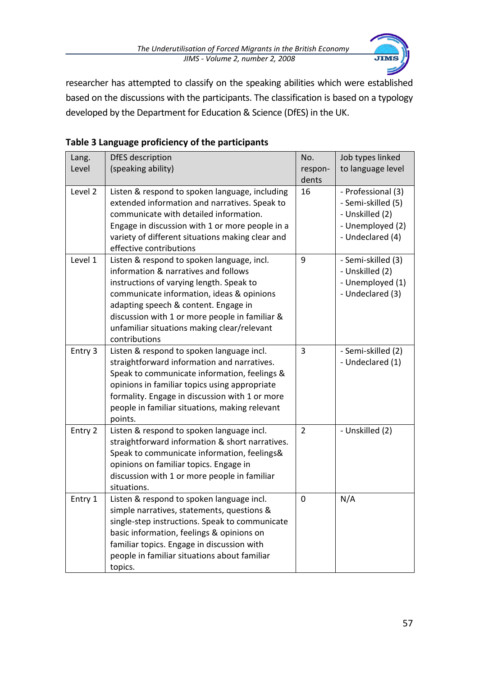

researcher has attempted to classify on the speaking abilities which were established based on the discussions with the participants. The classification is based on a typology developed by the Department for Education & Science (DfES) in the UK.

| Lang.<br>Level | <b>DfES</b> description<br>(speaking ability)                                                                                                                                                                                                                                                                                         | No.<br>respon-<br>dents | Job types linked<br>to language level                                                               |
|----------------|---------------------------------------------------------------------------------------------------------------------------------------------------------------------------------------------------------------------------------------------------------------------------------------------------------------------------------------|-------------------------|-----------------------------------------------------------------------------------------------------|
| Level 2        | Listen & respond to spoken language, including<br>extended information and narratives. Speak to<br>communicate with detailed information.<br>Engage in discussion with 1 or more people in a<br>variety of different situations making clear and<br>effective contributions                                                           | 16                      | - Professional (3)<br>- Semi-skilled (5)<br>- Unskilled (2)<br>- Unemployed (2)<br>- Undeclared (4) |
| Level 1        | Listen & respond to spoken language, incl.<br>information & narratives and follows<br>instructions of varying length. Speak to<br>communicate information, ideas & opinions<br>adapting speech & content. Engage in<br>discussion with 1 or more people in familiar &<br>unfamiliar situations making clear/relevant<br>contributions | 9                       | - Semi-skilled (3)<br>- Unskilled (2)<br>- Unemployed (1)<br>- Undeclared (3)                       |
| Entry 3        | Listen & respond to spoken language incl.<br>straightforward information and narratives.<br>Speak to communicate information, feelings &<br>opinions in familiar topics using appropriate<br>formality. Engage in discussion with 1 or more<br>people in familiar situations, making relevant<br>points.                              | 3                       | - Semi-skilled (2)<br>- Undeclared (1)                                                              |
| Entry 2        | Listen & respond to spoken language incl.<br>straightforward information & short narratives.<br>Speak to communicate information, feelings&<br>opinions on familiar topics. Engage in<br>discussion with 1 or more people in familiar<br>situations.                                                                                  | $\overline{2}$          | - Unskilled (2)                                                                                     |
| Entry 1        | Listen & respond to spoken language incl.<br>simple narratives, statements, questions &<br>single-step instructions. Speak to communicate<br>basic information, feelings & opinions on<br>familiar topics. Engage in discussion with<br>people in familiar situations about familiar<br>topics.                                       | $\mathbf 0$             | N/A                                                                                                 |

## **Table 3 Language proficiency of the participants**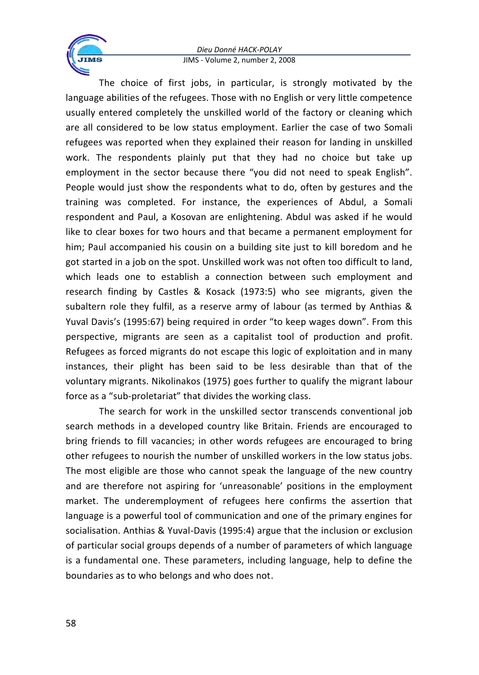

The choice of first jobs, in particular, is strongly motivated by the language abilities of the refugees. Those with no English or very little competence usually entered completely the unskilled world of the factory or cleaning which are all considered to be low status employment. Earlier the case of two Somali refugees was reported when they explained their reason for landing in unskilled work. The respondents plainly put that they had no choice but take up employment in the sector because there "you did not need to speak English". People would just show the respondents what to do, often by gestures and the training was completed. For instance, the experiences of Abdul, a Somali respondent and Paul, a Kosovan are enlightening. Abdul was asked if he would like to clear boxes for two hours and that became a permanent employment for him; Paul accompanied his cousin on a building site just to kill boredom and he got started in a job on the spot. Unskilled work was not often too difficult to land, which leads one to establish a connection between such employment and research finding by Castles & Kosack (1973:5) who see migrants, given the subaltern role they fulfil, as a reserve army of labour (as termed by Anthias & Yuval Davis's (1995:67) being required in order "to keep wages down". From this perspective, migrants are seen as a capitalist tool of production and profit. Refugees as forced migrants do not escape this logic of exploitation and in many instances, their plight has been said to be less desirable than that of the voluntary migrants. Nikolinakos (1975) goes further to qualify the migrant labour force as a "sub-proletariat" that divides the working class.

The search for work in the unskilled sector transcends conventional job search methods in a developed country like Britain. Friends are encouraged to bring friends to fill vacancies; in other words refugees are encouraged to bring other refugees to nourish the number of unskilled workers in the low status jobs. The most eligible are those who cannot speak the language of the new country and are therefore not aspiring for 'unreasonable' positions in the employment market. The underemployment of refugees here confirms the assertion that language is a powerful tool of communication and one of the primary engines for socialisation. Anthias & Yuval-Davis (1995:4) argue that the inclusion or exclusion of particular social groups depends of a number of parameters of which language is a fundamental one. These parameters, including language, help to define the boundaries as to who belongs and who does not.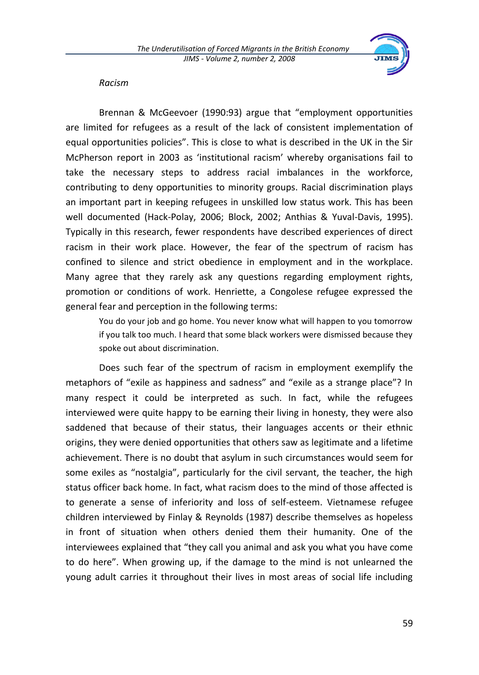

#### *Racism*

Brennan & McGeevoer (1990:93) argue that "employment opportunities are limited for refugees as a result of the lack of consistent implementation of equal opportunities policies". This is close to what is described in the UK in the Sir McPherson report in 2003 as 'institutional racism' whereby organisations fail to take the necessary steps to address racial imbalances in the workforce, contributing to deny opportunities to minority groups. Racial discrimination plays an important part in keeping refugees in unskilled low status work. This has been well documented (Hack-Polay, 2006; Block, 2002; Anthias & Yuval-Davis, 1995). Typically in this research, fewer respondents have described experiences of direct racism in their work place. However, the fear of the spectrum of racism has confined to silence and strict obedience in employment and in the workplace. Many agree that they rarely ask any questions regarding employment rights, promotion or conditions of work. Henriette, a Congolese refugee expressed the general fear and perception in the following terms:

You do your job and go home. You never know what will happen to you tomorrow if you talk too much. I heard that some black workers were dismissed because they spoke out about discrimination.

Does such fear of the spectrum of racism in employment exemplify the metaphors of "exile as happiness and sadness" and "exile as a strange place"? In many respect it could be interpreted as such. In fact, while the refugees interviewed were quite happy to be earning their living in honesty, they were also saddened that because of their status, their languages accents or their ethnic origins, they were denied opportunities that others saw as legitimate and a lifetime achievement. There is no doubt that asylum in such circumstances would seem for some exiles as "nostalgia", particularly for the civil servant, the teacher, the high status officer back home. In fact, what racism does to the mind of those affected is to generate a sense of inferiority and loss of self-esteem. Vietnamese refugee children interviewed by Finlay & Reynolds (1987) describe themselves as hopeless in front of situation when others denied them their humanity. One of the interviewees explained that "they call you animal and ask you what you have come to do here". When growing up, if the damage to the mind is not unlearned the young adult carries it throughout their lives in most areas of social life including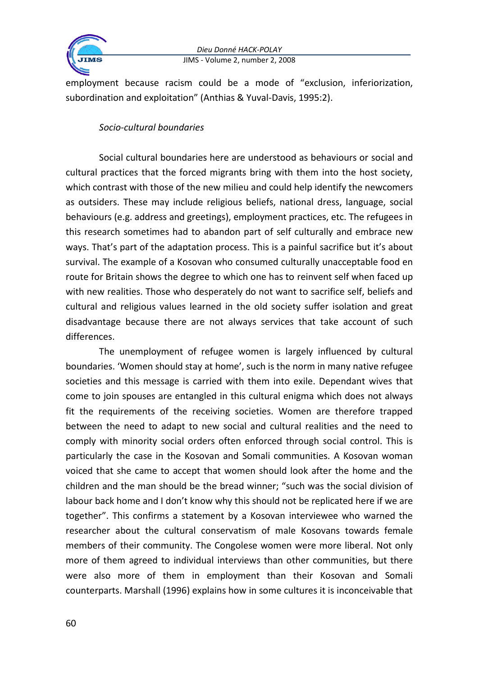

employment because racism could be a mode of "exclusion, inferiorization, subordination and exploitation" (Anthias & Yuval-Davis, 1995:2).

#### *Socio-cultural boundaries*

Social cultural boundaries here are understood as behaviours or social and cultural practices that the forced migrants bring with them into the host society, which contrast with those of the new milieu and could help identify the newcomers as outsiders. These may include religious beliefs, national dress, language, social behaviours (e.g. address and greetings), employment practices, etc. The refugees in this research sometimes had to abandon part of self culturally and embrace new ways. That's part of the adaptation process. This is a painful sacrifice but it's about survival. The example of a Kosovan who consumed culturally unacceptable food en route for Britain shows the degree to which one has to reinvent self when faced up with new realities. Those who desperately do not want to sacrifice self, beliefs and cultural and religious values learned in the old society suffer isolation and great disadvantage because there are not always services that take account of such differences.

The unemployment of refugee women is largely influenced by cultural boundaries. 'Women should stay at home', such is the norm in many native refugee societies and this message is carried with them into exile. Dependant wives that come to join spouses are entangled in this cultural enigma which does not always fit the requirements of the receiving societies. Women are therefore trapped between the need to adapt to new social and cultural realities and the need to comply with minority social orders often enforced through social control. This is particularly the case in the Kosovan and Somali communities. A Kosovan woman voiced that she came to accept that women should look after the home and the children and the man should be the bread winner; "such was the social division of labour back home and I don't know why this should not be replicated here if we are together". This confirms a statement by a Kosovan interviewee who warned the researcher about the cultural conservatism of male Kosovans towards female members of their community. The Congolese women were more liberal. Not only more of them agreed to individual interviews than other communities, but there were also more of them in employment than their Kosovan and Somali counterparts. Marshall (1996) explains how in some cultures it is inconceivable that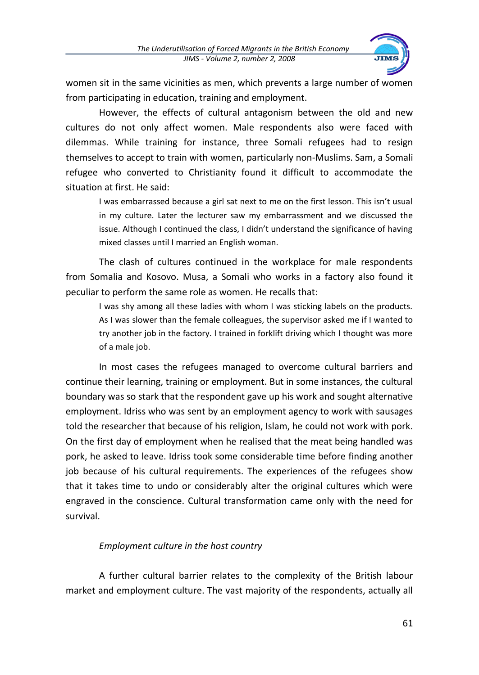

women sit in the same vicinities as men, which prevents a large number of women from participating in education, training and employment.

However, the effects of cultural antagonism between the old and new cultures do not only affect women. Male respondents also were faced with dilemmas. While training for instance, three Somali refugees had to resign themselves to accept to train with women, particularly non-Muslims. Sam, a Somali refugee who converted to Christianity found it difficult to accommodate the situation at first. He said:

I was embarrassed because a girl sat next to me on the first lesson. This isn't usual in my culture. Later the lecturer saw my embarrassment and we discussed the issue. Although I continued the class, I didn't understand the significance of having mixed classes until I married an English woman.

The clash of cultures continued in the workplace for male respondents from Somalia and Kosovo. Musa, a Somali who works in a factory also found it peculiar to perform the same role as women. He recalls that:

I was shy among all these ladies with whom I was sticking labels on the products. As I was slower than the female colleagues, the supervisor asked me if I wanted to try another job in the factory. I trained in forklift driving which I thought was more of a male job.

In most cases the refugees managed to overcome cultural barriers and continue their learning, training or employment. But in some instances, the cultural boundary was so stark that the respondent gave up his work and sought alternative employment. Idriss who was sent by an employment agency to work with sausages told the researcher that because of his religion, Islam, he could not work with pork. On the first day of employment when he realised that the meat being handled was pork, he asked to leave. Idriss took some considerable time before finding another job because of his cultural requirements. The experiences of the refugees show that it takes time to undo or considerably alter the original cultures which were engraved in the conscience. Cultural transformation came only with the need for survival.

## *Employment culture in the host country*

A further cultural barrier relates to the complexity of the British labour market and employment culture. The vast majority of the respondents, actually all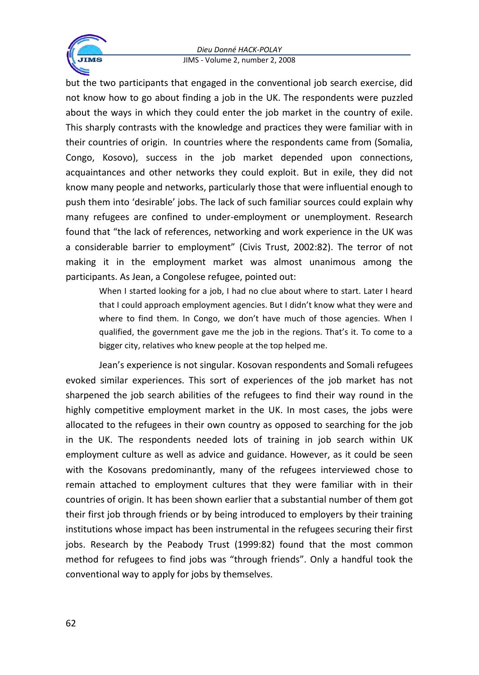

but the two participants that engaged in the conventional job search exercise, did not know how to go about finding a job in the UK. The respondents were puzzled about the ways in which they could enter the job market in the country of exile. This sharply contrasts with the knowledge and practices they were familiar with in their countries of origin. In countries where the respondents came from (Somalia, Congo, Kosovo), success in the job market depended upon connections, acquaintances and other networks they could exploit. But in exile, they did not know many people and networks, particularly those that were influential enough to push them into 'desirable' jobs. The lack of such familiar sources could explain why many refugees are confined to under-employment or unemployment. Research found that "the lack of references, networking and work experience in the UK was a considerable barrier to employment" (Civis Trust, 2002:82). The terror of not making it in the employment market was almost unanimous among the participants. As Jean, a Congolese refugee, pointed out:

When I started looking for a job, I had no clue about where to start. Later I heard that I could approach employment agencies. But I didn't know what they were and where to find them. In Congo, we don't have much of those agencies. When I qualified, the government gave me the job in the regions. That's it. To come to a bigger city, relatives who knew people at the top helped me.

Jean's experience is not singular. Kosovan respondents and Somali refugees evoked similar experiences. This sort of experiences of the job market has not sharpened the job search abilities of the refugees to find their way round in the highly competitive employment market in the UK. In most cases, the jobs were allocated to the refugees in their own country as opposed to searching for the job in the UK. The respondents needed lots of training in job search within UK employment culture as well as advice and guidance. However, as it could be seen with the Kosovans predominantly, many of the refugees interviewed chose to remain attached to employment cultures that they were familiar with in their countries of origin. It has been shown earlier that a substantial number of them got their first job through friends or by being introduced to employers by their training institutions whose impact has been instrumental in the refugees securing their first jobs. Research by the Peabody Trust (1999:82) found that the most common method for refugees to find jobs was "through friends". Only a handful took the conventional way to apply for jobs by themselves.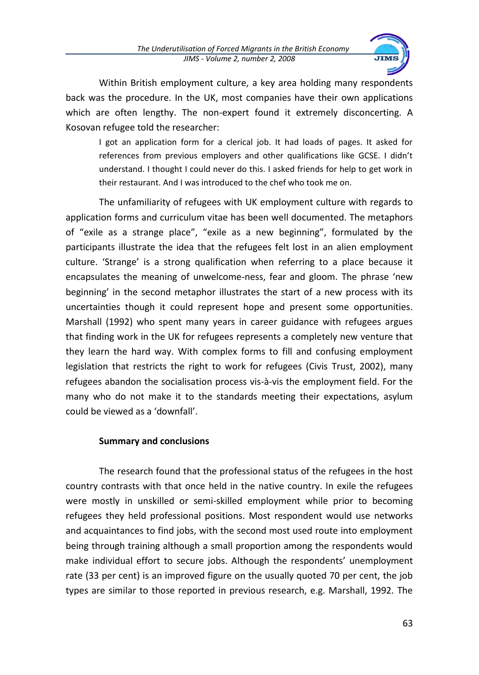

Within British employment culture, a key area holding many respondents back was the procedure. In the UK, most companies have their own applications which are often lengthy. The non-expert found it extremely disconcerting. A Kosovan refugee told the researcher:

I got an application form for a clerical job. It had loads of pages. It asked for references from previous employers and other qualifications like GCSE. I didn't understand. I thought I could never do this. I asked friends for help to get work in their restaurant. And I was introduced to the chef who took me on.

The unfamiliarity of refugees with UK employment culture with regards to application forms and curriculum vitae has been well documented. The metaphors of "exile as a strange place", "exile as a new beginning", formulated by the participants illustrate the idea that the refugees felt lost in an alien employment culture. 'Strange' is a strong qualification when referring to a place because it encapsulates the meaning of unwelcome-ness, fear and gloom. The phrase 'new beginning' in the second metaphor illustrates the start of a new process with its uncertainties though it could represent hope and present some opportunities. Marshall (1992) who spent many years in career guidance with refugees argues that finding work in the UK for refugees represents a completely new venture that they learn the hard way. With complex forms to fill and confusing employment legislation that restricts the right to work for refugees (Civis Trust, 2002), many refugees abandon the socialisation process vis-à-vis the employment field. For the many who do not make it to the standards meeting their expectations, asylum could be viewed as a 'downfall'.

#### **Summary and conclusions**

The research found that the professional status of the refugees in the host country contrasts with that once held in the native country. In exile the refugees were mostly in unskilled or semi-skilled employment while prior to becoming refugees they held professional positions. Most respondent would use networks and acquaintances to find jobs, with the second most used route into employment being through training although a small proportion among the respondents would make individual effort to secure jobs. Although the respondents' unemployment rate (33 per cent) is an improved figure on the usually quoted 70 per cent, the job types are similar to those reported in previous research, e.g. Marshall, 1992. The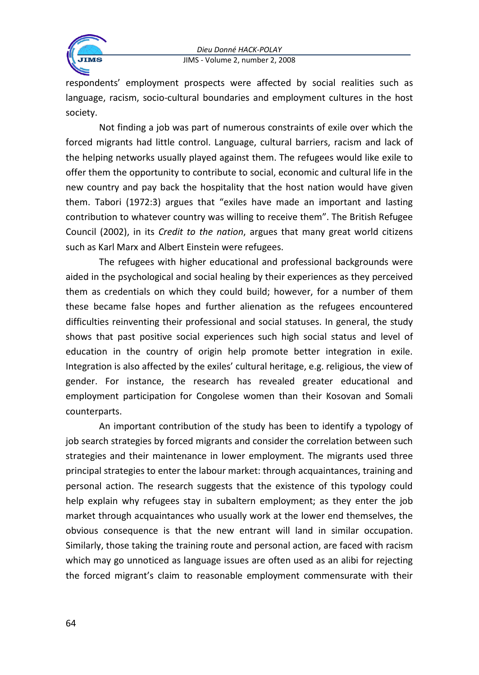



respondents' employment prospects were affected by social realities such as language, racism, socio-cultural boundaries and employment cultures in the host society.

Not finding a job was part of numerous constraints of exile over which the forced migrants had little control. Language, cultural barriers, racism and lack of the helping networks usually played against them. The refugees would like exile to offer them the opportunity to contribute to social, economic and cultural life in the new country and pay back the hospitality that the host nation would have given them. Tabori (1972:3) argues that "exiles have made an important and lasting contribution to whatever country was willing to receive them". The British Refugee Council (2002), in its *Credit to the nation*, argues that many great world citizens such as Karl Marx and Albert Einstein were refugees.

The refugees with higher educational and professional backgrounds were aided in the psychological and social healing by their experiences as they perceived them as credentials on which they could build; however, for a number of them these became false hopes and further alienation as the refugees encountered difficulties reinventing their professional and social statuses. In general, the study shows that past positive social experiences such high social status and level of education in the country of origin help promote better integration in exile. Integration is also affected by the exiles' cultural heritage, e.g. religious, the view of gender. For instance, the research has revealed greater educational and employment participation for Congolese women than their Kosovan and Somali counterparts.

An important contribution of the study has been to identify a typology of job search strategies by forced migrants and consider the correlation between such strategies and their maintenance in lower employment. The migrants used three principal strategies to enter the labour market: through acquaintances, training and personal action. The research suggests that the existence of this typology could help explain why refugees stay in subaltern employment; as they enter the job market through acquaintances who usually work at the lower end themselves, the obvious consequence is that the new entrant will land in similar occupation. Similarly, those taking the training route and personal action, are faced with racism which may go unnoticed as language issues are often used as an alibi for rejecting the forced migrant's claim to reasonable employment commensurate with their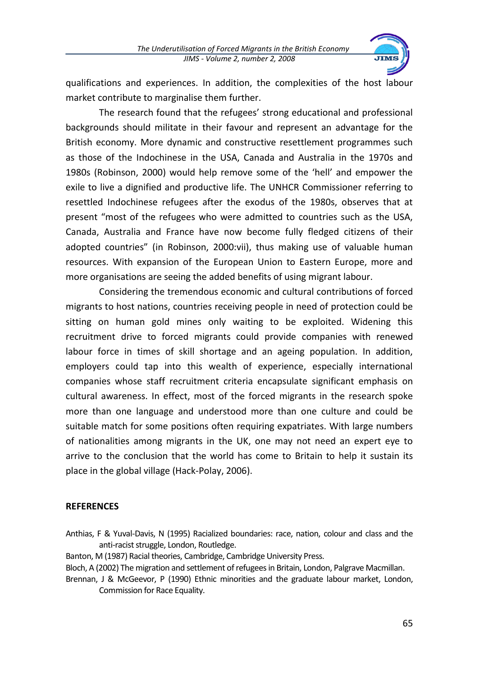

qualifications and experiences. In addition, the complexities of the host labour market contribute to marginalise them further.

The research found that the refugees' strong educational and professional backgrounds should militate in their favour and represent an advantage for the British economy. More dynamic and constructive resettlement programmes such as those of the Indochinese in the USA, Canada and Australia in the 1970s and 1980s (Robinson, 2000) would help remove some of the 'hell' and empower the exile to live a dignified and productive life. The UNHCR Commissioner referring to resettled Indochinese refugees after the exodus of the 1980s, observes that at present "most of the refugees who were admitted to countries such as the USA, Canada, Australia and France have now become fully fledged citizens of their adopted countries" (in Robinson, 2000:vii), thus making use of valuable human resources. With expansion of the European Union to Eastern Europe, more and more organisations are seeing the added benefits of using migrant labour.

Considering the tremendous economic and cultural contributions of forced migrants to host nations, countries receiving people in need of protection could be sitting on human gold mines only waiting to be exploited. Widening this recruitment drive to forced migrants could provide companies with renewed labour force in times of skill shortage and an ageing population. In addition, employers could tap into this wealth of experience, especially international companies whose staff recruitment criteria encapsulate significant emphasis on cultural awareness. In effect, most of the forced migrants in the research spoke more than one language and understood more than one culture and could be suitable match for some positions often requiring expatriates. With large numbers of nationalities among migrants in the UK, one may not need an expert eye to arrive to the conclusion that the world has come to Britain to help it sustain its place in the global village (Hack-Polay, 2006).

#### **REFERENCES**

- Anthias, F & Yuval-Davis, N (1995) Racialized boundaries: race, nation, colour and class and the anti-racist struggle, London, Routledge.
- Banton, M (1987) Racial theories, Cambridge, Cambridge University Press.

Bloch, A (2002) The migration and settlement of refugees in Britain, London, Palgrave Macmillan.

Brennan, J & McGeevor, P (1990) Ethnic minorities and the graduate labour market, London, Commission for Race Equality.